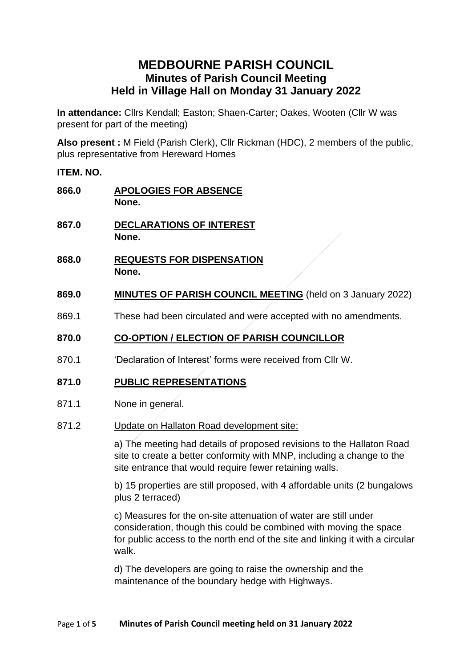# **MEDBOURNE PARISH COUNCIL Minutes of Parish Council Meeting Held in Village Hall on Monday 31 January 2022**

**In attendance:** Cllrs Kendall; Easton; Shaen-Carter; Oakes, Wooten (Cllr W was present for part of the meeting)

**Also present :** M Field (Parish Clerk), Cllr Rickman (HDC), 2 members of the public, plus representative from Hereward Homes

## **ITEM. NO.**

| 866.0 | <b>APOLOGIES FOR ABSENCE</b><br>None.                                                                                                                                                                      |
|-------|------------------------------------------------------------------------------------------------------------------------------------------------------------------------------------------------------------|
| 867.0 | DECLARATIONS OF INTEREST<br>None.                                                                                                                                                                          |
| 868.0 | <b>REQUESTS FOR DISPENSATION</b><br>None.                                                                                                                                                                  |
| 869.0 | <b>MINUTES OF PARISH COUNCIL MEETING</b> (held on 3 January 2022)                                                                                                                                          |
| 869.1 | These had been circulated and were accepted with no amendments.                                                                                                                                            |
| 870.0 | <b>CO-OPTION / ELECTION OF PARISH COUNCILLOR</b>                                                                                                                                                           |
| 870.1 | 'Declaration of Interest' forms were received from Cllr W.                                                                                                                                                 |
| 871.0 | <b>PUBLIC REPRESENTATIONS</b>                                                                                                                                                                              |
| 871.1 | None in general.                                                                                                                                                                                           |
| 871.2 | Update on Hallaton Road development site:                                                                                                                                                                  |
|       | a) The meeting had details of proposed revisions to the Hallaton Road<br>site to create a better conformity with MNP, including a change to the<br>site entrance that would require fewer retaining walls. |
|       | b) 15 properties are still proposed, with 4 affordable units (2 bungalows<br>plus 2 terraced)                                                                                                              |
|       |                                                                                                                                                                                                            |

c) Measures for the on-site attenuation of water are still under consideration, though this could be combined with moving the space for public access to the north end of the site and linking it with a circular walk.

d) The developers are going to raise the ownership and the maintenance of the boundary hedge with Highways.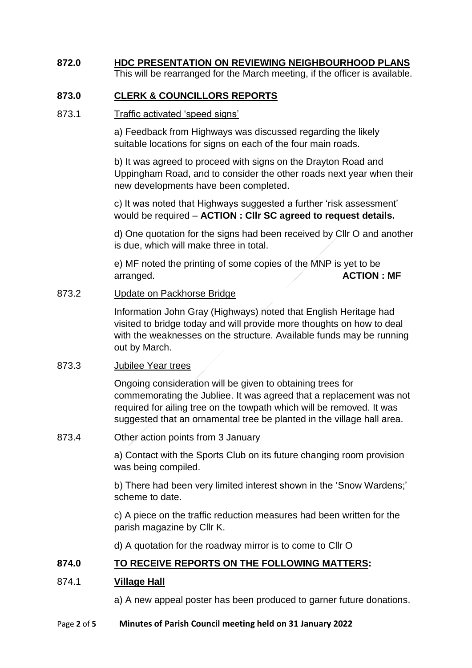#### **872.0 HDC PRESENTATION ON REVIEWING NEIGHBOURHOOD PLANS** This will be rearranged for the March meeting, if the officer is available.

# **873.0 CLERK & COUNCILLORS REPORTS**

#### 873.1 Traffic activated 'speed signs'

a) Feedback from Highways was discussed regarding the likely suitable locations for signs on each of the four main roads.

b) It was agreed to proceed with signs on the Drayton Road and Uppingham Road, and to consider the other roads next year when their new developments have been completed.

c) It was noted that Highways suggested a further 'risk assessment' would be required – **ACTION : Cllr SC agreed to request details.**

d) One quotation for the signs had been received by Cllr O and another is due, which will make three in total.

e) MF noted the printing of some copies of the MNP is yet to be arranged. **ACTION : MF**

#### 873.2 Update on Packhorse Bridge

Information John Gray (Highways) noted that English Heritage had visited to bridge today and will provide more thoughts on how to deal with the weaknesses on the structure. Available funds may be running out by March.

## 873.3 Jubilee Year trees

Ongoing consideration will be given to obtaining trees for commemorating the Jubliee. It was agreed that a replacement was not required for ailing tree on the towpath which will be removed. It was suggested that an ornamental tree be planted in the village hall area.

#### 873.4 Other action points from 3 January

a) Contact with the Sports Club on its future changing room provision was being compiled.

b) There had been very limited interest shown in the 'Snow Wardens;' scheme to date.

c) A piece on the traffic reduction measures had been written for the parish magazine by Cllr K.

d) A quotation for the roadway mirror is to come to Cllr O

# **874.0 TO RECEIVE REPORTS ON THE FOLLOWING MATTERS:**

## 874.1 **Village Hall**

a) A new appeal poster has been produced to garner future donations.

#### Page **2** of **5 Minutes of Parish Council meeting held on 31 January 2022**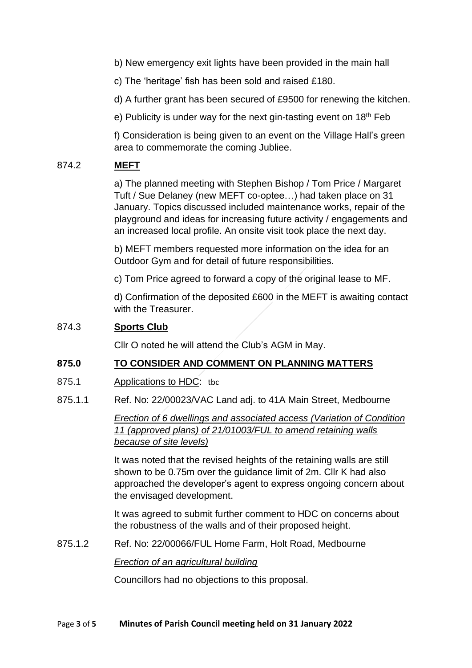b) New emergency exit lights have been provided in the main hall

c) The 'heritage' fish has been sold and raised £180.

d) A further grant has been secured of £9500 for renewing the kitchen.

e) Publicity is under way for the next gin-tasting event on  $18<sup>th</sup>$  Feb

f) Consideration is being given to an event on the Village Hall's green area to commemorate the coming Jubliee.

#### 874.2 **MEFT**

a) The planned meeting with Stephen Bishop / Tom Price / Margaret Tuft / Sue Delaney (new MEFT co-optee…) had taken place on 31 January. Topics discussed included maintenance works, repair of the playground and ideas for increasing future activity / engagements and an increased local profile. An onsite visit took place the next day.

b) MEFT members requested more information on the idea for an Outdoor Gym and for detail of future responsibilities.

c) Tom Price agreed to forward a copy of the original lease to MF.

d) Confirmation of the deposited £600 in the MEFT is awaiting contact with the Treasurer.

## 874.3 **Sports Club**

Cllr O noted he will attend the Club's AGM in May.

## **875.0 TO CONSIDER AND COMMENT ON PLANNING MATTERS**

- 875.1 Applications to HDC: tbc
- 875.1.1 Ref. No: 22/00023/VAC Land adj. to 41A Main Street, Medbourne

*[Erection of 6 dwellings and associated access \(Variation of Condition](https://pa2.harborough.gov.uk/online-applications/applicationDetails.do?activeTab=summary&keyVal=R5E6TTHWKIG00&prevPage=inTray)  [11 \(approved plans\) of 21/01003/FUL to amend retaining walls](https://pa2.harborough.gov.uk/online-applications/applicationDetails.do?activeTab=summary&keyVal=R5E6TTHWKIG00&prevPage=inTray)  [because of site levels\)](https://pa2.harborough.gov.uk/online-applications/applicationDetails.do?activeTab=summary&keyVal=R5E6TTHWKIG00&prevPage=inTray)*

It was noted that the revised heights of the retaining walls are still shown to be 0.75m over the guidance limit of 2m. Cllr K had also approached the developer's agent to express ongoing concern about the envisaged development.

It was agreed to submit further comment to HDC on concerns about the robustness of the walls and of their proposed height.

875.1.2 Ref. No: 22/00066/FUL Home Farm, Holt Road, Medbourne

*[Erection of an agricultural building](https://pa2.harborough.gov.uk/online-applications/applicationDetails.do?activeTab=summary&keyVal=R5V38MHWKNK00&prevPage=inTray)*

Councillors had no objections to this proposal.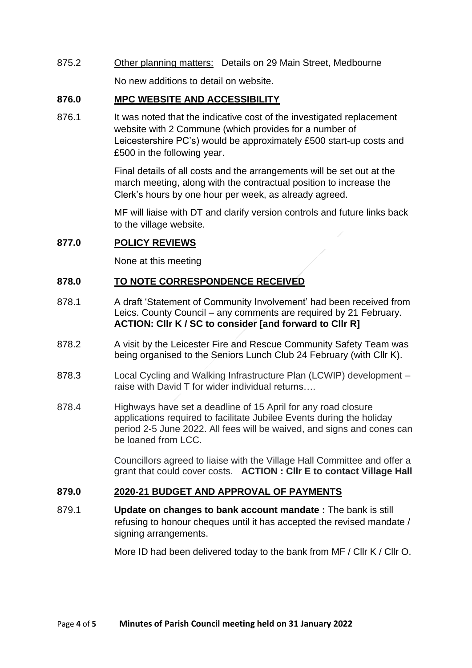875.2 Other planning matters: Details on 29 Main Street, Medbourne

No new additions to detail on website.

## **876.0 MPC WEBSITE AND ACCESSIBILITY**

876.1 It was noted that the indicative cost of the investigated replacement website with 2 Commune (which provides for a number of Leicestershire PC's) would be approximately £500 start-up costs and £500 in the following year.

> Final details of all costs and the arrangements will be set out at the march meeting, along with the contractual position to increase the Clerk's hours by one hour per week, as already agreed.

MF will liaise with DT and clarify version controls and future links back to the village website.

# **877.0 POLICY REVIEWS**

None at this meeting

# **878.0 TO NOTE CORRESPONDENCE RECEIVED**

- 878.1 A draft 'Statement of Community Involvement' had been received from Leics. County Council – any comments are required by 21 February. **ACTION: Cllr K / SC to consider [and forward to Cllr R]**
- 878.2 A visit by the Leicester Fire and Rescue Community Safety Team was being organised to the Seniors Lunch Club 24 February (with Cllr K).
- 878.3 Local Cycling and Walking Infrastructure Plan (LCWIP) development raise with David T for wider individual returns….
- 878.4 Highways have set a deadline of 15 April for any road closure applications required to facilitate Jubilee Events during the holiday period 2-5 June 2022. All fees will be waived, and signs and cones can be loaned from LCC.

Councillors agreed to liaise with the Village Hall Committee and offer a grant that could cover costs. **ACTION : Cllr E to contact Village Hall**

# **879.0 2020-21 BUDGET AND APPROVAL OF PAYMENTS**

879.1 **Update on changes to bank account mandate :** The bank is still refusing to honour cheques until it has accepted the revised mandate / signing arrangements.

More ID had been delivered today to the bank from MF / Cllr K / Cllr O.